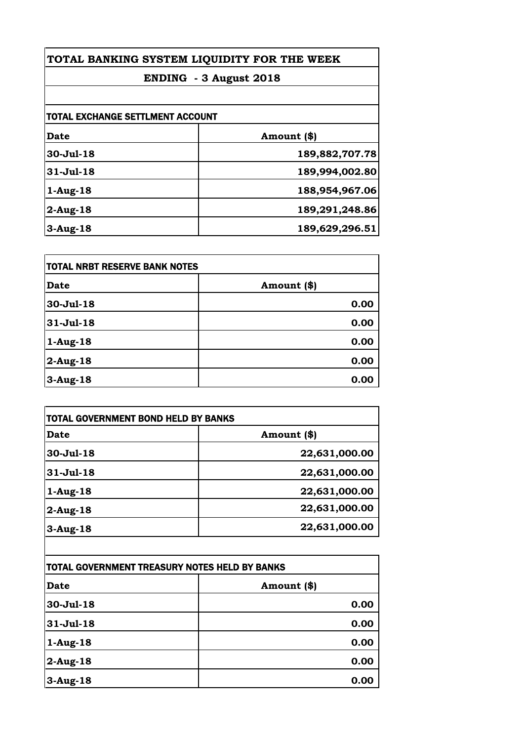| TOTAL BANKING SYSTEM LIQUIDITY FOR THE WEEK<br>ENDING - 3 August 2018 |                |
|-----------------------------------------------------------------------|----------------|
|                                                                       |                |
| <b>TOTAL EXCHANGE SETTLMENT ACCOUNT</b>                               |                |
| Date                                                                  | Amount (\$)    |
| 30-Jul-18                                                             | 189,882,707.78 |
| $31-Jul-18$                                                           | 189,994,002.80 |
| $1-Aug-18$                                                            | 188,954,967.06 |
| $2$ -Aug-18                                                           | 189,291,248.86 |
| $3-Aug-18$                                                            | 189,629,296.51 |

| <b>TOTAL NRBT RESERVE BANK NOTES</b> |             |
|--------------------------------------|-------------|
| <b>Date</b>                          | Amount (\$) |
| $30 - Jul - 18$                      | 0.00        |
| 31-Jul-18                            | 0.00        |
| $1-Aug-18$                           | 0.00        |
| $2$ -Aug-18                          | 0.00        |
| $3-Aug-18$                           | 0.00        |

| Date        | Amount (\$)   |
|-------------|---------------|
| 30-Jul-18   | 22,631,000.00 |
| $31-Jul-18$ | 22,631,000.00 |
| $1-Aug-18$  | 22,631,000.00 |
| $2$ -Aug-18 | 22,631,000.00 |
| $3-Aug-18$  | 22,631,000.00 |

| TOTAL GOVERNMENT TREASURY NOTES HELD BY BANKS |             |
|-----------------------------------------------|-------------|
| <b>Date</b>                                   | Amount (\$) |
| 30-Jul-18                                     | 0.00        |
| 31-Jul-18                                     | 0.00        |
| $1-Aug-18$                                    | 0.00        |
| $2$ -Aug-18                                   | 0.00        |
| $3-Aug-18$                                    | 0.00        |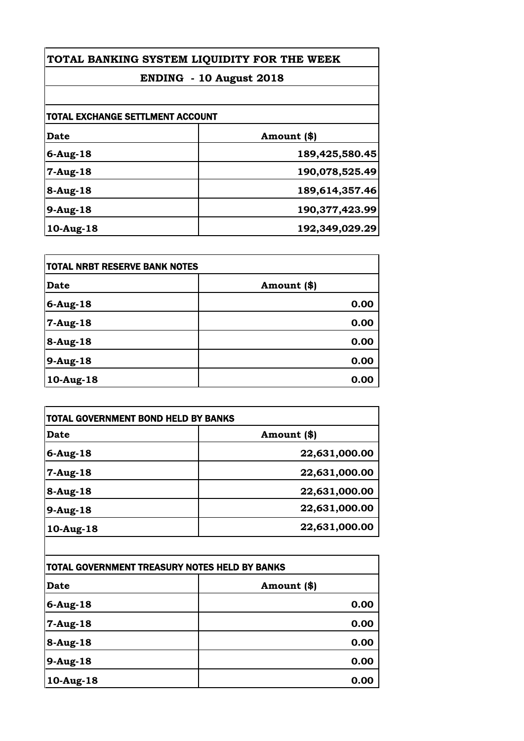| TOTAL BANKING SYSTEM LIQUIDITY FOR THE WEEK |                |
|---------------------------------------------|----------------|
| ENDING - 10 August 2018                     |                |
|                                             |                |
| <b>TOTAL EXCHANGE SETTLMENT ACCOUNT</b>     |                |
| Date                                        | Amount (\$)    |
| $6$ -Aug-18                                 | 189,425,580.45 |
| $7 - Aug - 18$                              | 190,078,525.49 |
| $8-Aug-18$                                  | 189,614,357.46 |
| $9-Aug-18$                                  | 190,377,423.99 |
| 10-Aug-18                                   | 192,349,029.29 |

| <b>TOTAL NRBT RESERVE BANK NOTES</b> |             |
|--------------------------------------|-------------|
| <b>Date</b>                          | Amount (\$) |
| $6$ -Aug-18                          | 0.00        |
| $7-Aug-18$                           | 0.00        |
| 8-Aug-18                             | 0.00        |
| $9-Aug-18$                           | 0.00        |
| 10-Aug-18                            | 0.00        |

| Date            | Amount (\$)   |
|-----------------|---------------|
| $6$ -Aug-18     | 22,631,000.00 |
| $7-Aug-18$      | 22,631,000.00 |
| $8-Aug-18$      | 22,631,000.00 |
| $9-Aug-18$      | 22,631,000.00 |
| $10$ -Aug- $18$ | 22,631,000.00 |
|                 |               |

| TOTAL GOVERNMENT TREASURY NOTES HELD BY BANKS |             |
|-----------------------------------------------|-------------|
| <b>Date</b>                                   | Amount (\$) |
| $6$ -Aug-18                                   | 0.00        |
| 7-Aug-18                                      | 0.00        |
| 8-Aug-18                                      | 0.00        |
| 9-Aug-18                                      | 0.00        |
| 10-Aug-18                                     | 0.00        |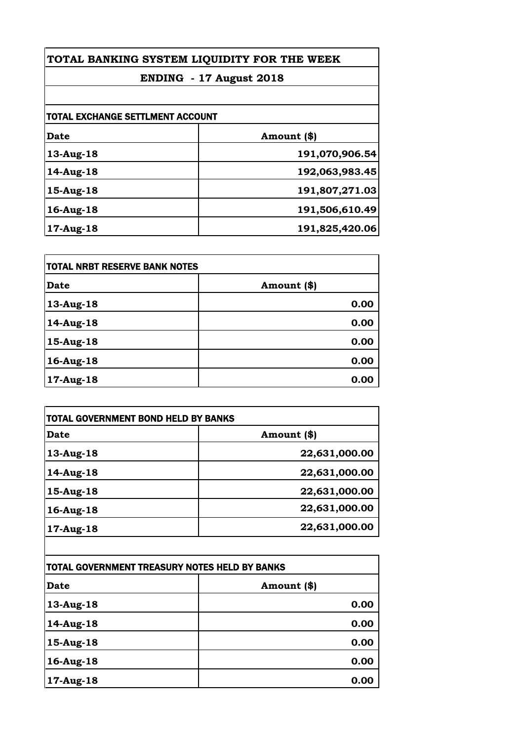| TOTAL BANKING SYSTEM LIQUIDITY FOR THE WEEK<br>ENDING - 17 August 2018 |                |
|------------------------------------------------------------------------|----------------|
|                                                                        |                |
| <b>TOTAL EXCHANGE SETTLMENT ACCOUNT</b>                                |                |
| Date                                                                   | Amount (\$)    |
| 13-Aug-18                                                              | 191,070,906.54 |
| 14-Aug-18                                                              | 192,063,983.45 |
| $15$ -Aug- $18$                                                        | 191,807,271.03 |
| 16-Aug-18                                                              | 191,506,610.49 |
| 17-Aug-18                                                              | 191,825,420.06 |

| <b>TOTAL NRBT RESERVE BANK NOTES</b> |             |
|--------------------------------------|-------------|
| <b>Date</b>                          | Amount (\$) |
| 13-Aug-18                            | 0.00        |
| 14-Aug-18                            | 0.00        |
| 15-Aug-18                            | 0.00        |
| 16-Aug-18                            | 0.00        |
| 17-Aug-18                            | 0.00        |

| Date            | Amount (\$)   |
|-----------------|---------------|
| 13-Aug-18       | 22,631,000.00 |
| 14-Aug-18       | 22,631,000.00 |
| $15$ -Aug- $18$ | 22,631,000.00 |
| 16-Aug-18       | 22,631,000.00 |
| 17-Aug-18       | 22,631,000.00 |

| TOTAL GOVERNMENT TREASURY NOTES HELD BY BANKS |             |
|-----------------------------------------------|-------------|
| <b>Date</b>                                   | Amount (\$) |
| 13-Aug-18                                     | 0.00        |
| 14-Aug-18                                     | 0.00        |
| 15-Aug-18                                     | 0.00        |
| 16-Aug-18                                     | 0.00        |
| 17-Aug-18                                     | 0.00        |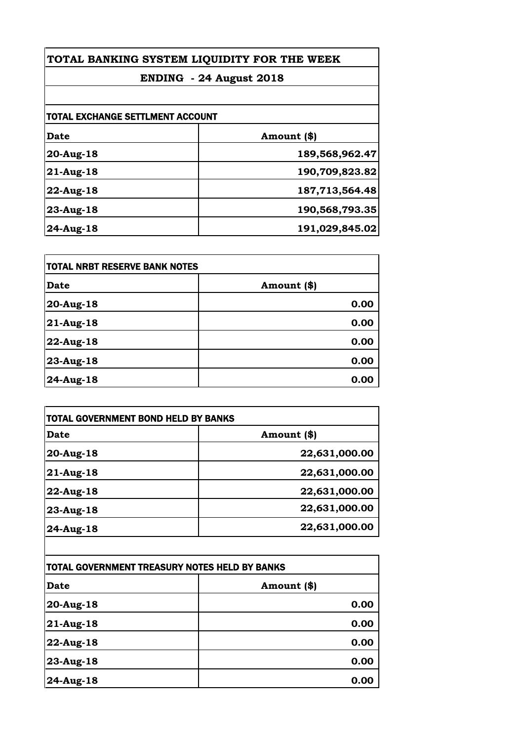| TOTAL BANKING SYSTEM LIQUIDITY FOR THE WEEK<br>ENDING - 24 August 2018 |                |
|------------------------------------------------------------------------|----------------|
|                                                                        |                |
| <b>TOTAL EXCHANGE SETTLMENT ACCOUNT</b>                                |                |
| <b>Date</b>                                                            | Amount (\$)    |
| $20$ -Aug-18                                                           | 189,568,962.47 |
| $21$ -Aug-18                                                           | 190,709,823.82 |
| $22$ -Aug-18                                                           | 187,713,564.48 |
| $23$ -Aug-18                                                           | 190,568,793.35 |
| $24$ -Aug-18                                                           | 191,029,845.02 |

| TOTAL NRBT RESERVE BANK NOTES |             |
|-------------------------------|-------------|
| <b>Date</b>                   | Amount (\$) |
| 20-Aug-18                     | 0.00        |
| 21-Aug-18                     | 0.00        |
| 22-Aug-18                     | 0.00        |
| 23-Aug-18                     | 0.00        |
| 24-Aug-18                     | 0.00        |

| Date         | Amount (\$)   |
|--------------|---------------|
| 20-Aug-18    | 22,631,000.00 |
| $21$ -Aug-18 | 22,631,000.00 |
| 22-Aug-18    | 22,631,000.00 |
| 23-Aug-18    | 22,631,000.00 |
| 24-Aug-18    | 22,631,000.00 |

| TOTAL GOVERNMENT TREASURY NOTES HELD BY BANKS |             |
|-----------------------------------------------|-------------|
| Date                                          | Amount (\$) |
| 20-Aug-18                                     | 0.00        |
| $21$ -Aug-18                                  | 0.00        |
| 22-Aug-18                                     | 0.00        |
| 23-Aug-18                                     | 0.00        |
| 24-Aug-18                                     | 0.00        |